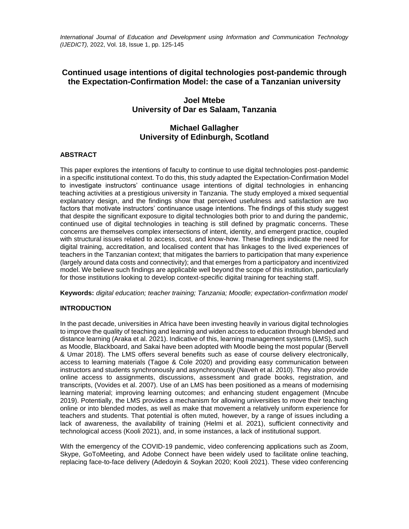*International Journal of Education and Development using Information and Communication Technology (IJEDICT),* 2022, Vol. 18, Issue 1, pp. 125-145

# **Continued usage intentions of digital technologies post-pandemic through the Expectation-Confirmation Model: the case of a Tanzanian university**

# **Joel Mtebe University of Dar es Salaam, Tanzania**

# **Michael Gallagher University of Edinburgh, Scotland**

# **ABSTRACT**

This paper explores the intentions of faculty to continue to use digital technologies post-pandemic in a specific institutional context. To do this, this study adapted the Expectation-Confirmation Model to investigate instructors' continuance usage intentions of digital technologies in enhancing teaching activities at a prestigious university in Tanzania. The study employed a mixed sequential explanatory design, and the findings show that perceived usefulness and satisfaction are two factors that motivate instructors' continuance usage intentions. The findings of this study suggest that despite the significant exposure to digital technologies both prior to and during the pandemic, continued use of digital technologies in teaching is still defined by pragmatic concerns. These concerns are themselves complex intersections of intent, identity, and emergent practice, coupled with structural issues related to access, cost, and know-how. These findings indicate the need for digital training, accreditation, and localised content that has linkages to the lived experiences of teachers in the Tanzanian context; that mitigates the barriers to participation that many experience (largely around data costs and connectivity); and that emerges from a participatory and incentivized model. We believe such findings are applicable well beyond the scope of this institution, particularly for those institutions looking to develop context-specific digital training for teaching staff.

**Keywords:** *digital education; teacher training; Tanzania; Moodle; expectation-confirmation model*

# **INTRODUCTION**

In the past decade, universities in Africa have been investing heavily in various digital technologies to improve the quality of teaching and learning and widen access to education through blended and distance learning (Araka et al. 2021). Indicative of this, learning management systems (LMS), such as Moodle, Blackboard, and Sakai have been adopted with Moodle being the most popular (Bervell & Umar 2018). The LMS offers several benefits such as ease of course delivery electronically, access to learning materials (Tagoe & Cole 2020) and providing easy communication between instructors and students synchronously and asynchronously (Naveh et al. 2010). They also provide online access to assignments, discussions, assessment and grade books, registration, and transcripts, (Vovides et al. 2007). Use of an LMS has been positioned as a means of modernising learning material; improving learning outcomes; and enhancing student engagement (Mncube 2019). Potentially, the LMS provides a mechanism for allowing universities to move their teaching online or into blended modes, as well as make that movement a relatively uniform experience for teachers and students. That potential is often muted, however, by a range of issues including a lack of awareness, the availability of training (Helmi et al. 2021), sufficient connectivity and technological access (Kooli 2021), and, in some instances, a lack of institutional support.

With the emergency of the COVID-19 pandemic, video conferencing applications such as Zoom, Skype, GoToMeeting, and Adobe Connect have been widely used to facilitate online teaching, replacing face-to-face delivery (Adedoyin & Soykan 2020; Kooli 2021). These video conferencing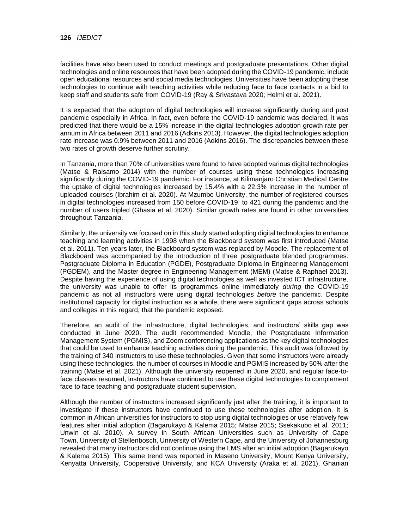facilities have also been used to conduct meetings and postgraduate presentations. Other digital technologies and online resources that have been adopted during the COVID-19 pandemic, include open educational resources and social media technologies. Universities have been adopting these technologies to continue with teaching activities while reducing face to face contacts in a bid to keep staff and students safe from COVID-19 (Ray & Srivastava 2020; Helmi et al. 2021).

It is expected that the adoption of digital technologies will increase significantly during and post pandemic especially in Africa. In fact, even before the COVID-19 pandemic was declared, it was predicted that there would be a 15% increase in the digital technologies adoption growth rate per annum in Africa between 2011 and 2016 (Adkins 2013). However, the digital technologies adoption rate increase was 0.9% between 2011 and 2016 (Adkins 2016). The discrepancies between these two rates of growth deserve further scrutiny.

In Tanzania, more than 70% of universities were found to have adopted various digital technologies (Matse & Raisamo 2014) with the number of courses using these technologies increasing significantly during the COVID-19 pandemic. For instance, at Kilimanjaro Christian Medical Centre the uptake of digital technologies increased by 15.4% with a 22.3% increase in the number of uploaded courses (Ibrahim et al. 2020). At Mzumbe University, the number of registered courses in digital technologies increased from 150 before COVID-19 to 421 during the pandemic and the number of users tripled (Ghasia et al. 2020). Similar growth rates are found in other universities throughout Tanzania.

Similarly, the university we focused on in this study started adopting digital technologies to enhance teaching and learning activities in 1998 when the Blackboard system was first introduced (Matse et al. 2011). Ten years later, the Blackboard system was replaced by Moodle. The replacement of Blackboard was accompanied by the introduction of three postgraduate blended programmes: Postgraduate Diploma in Education (PGDE), Postgraduate Diploma in Engineering Management (PGDEM), and the Master degree in Engineering Management (MEM) (Matse & Raphael 2013). Despite having the experience of using digital technologies as well as invested ICT infrastructure, the university was unable to offer its programmes online immediately *during* the COVID-19 pandemic as not all instructors were using digital technologies *before* the pandemic. Despite institutional capacity for digital instruction as a whole, there were significant gaps across schools and colleges in this regard, that the pandemic exposed.

Therefore, an audit of the infrastructure, digital technologies, and instructors' skills gap was conducted in June 2020. The audit recommended Moodle, the Postgraduate Information Management System (PGMIS), and Zoom conferencing applications as the key digital technologies that could be used to enhance teaching activities during the pandemic. This audit was followed by the training of 340 instructors to use these technologies. Given that some instructors were already using these technologies, the number of courses in Moodle and PGMIS increased by 50% after the training (Matse et al. 2021). Although the university reopened in June 2020, and regular face-toface classes resumed, instructors have continued to use these digital technologies to complement face to face teaching and postgraduate student supervision.

Although the number of instructors increased significantly just after the training, it is important to investigate if these instructors have continued to use these technologies after adoption. It is common in African universities for instructors to stop using digital technologies or use relatively few features after initial adoption (Bagarukayo & Kalema 2015; Matse 2015; Ssekakubo et al. 2011; Unwin et al. 2010). A survey in South African Universities such as University of Cape Town, University of Stellenbosch, University of Western Cape, and the University of Johannesburg revealed that many instructors did not continue using the LMS after an initial adoption (Bagarukayo & Kalema 2015). This same trend was reported in Maseno University, Mount Kenya University, Kenyatta University, Cooperative University, and KCA University (Araka et al. 2021), Ghanian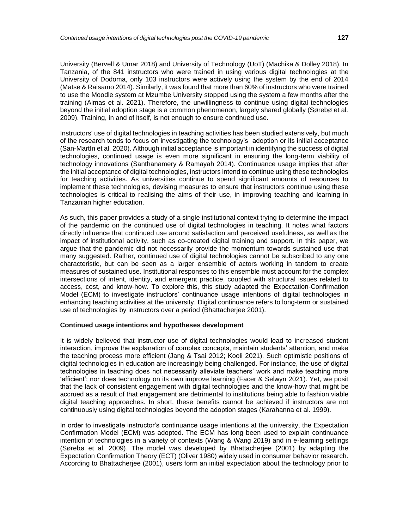University (Bervell & Umar 2018) and University of Technology (UoT) (Machika & Dolley 2018). In Tanzania, of the 841 instructors who were trained in using various digital technologies at the University of Dodoma, only 103 instructors were actively using the system by the end of 2014 (Matse & Raisamo 2014). Similarly, it was found that more than 60% of instructors who were trained to use the Moodle system at Mzumbe University stopped using the system a few months after the training (Almas et al. 2021). Therefore, the unwillingness to continue using digital technologies beyond the initial adoption stage is a common phenomenon, largely shared globally (Sørebø et al. 2009). Training, in and of itself, is not enough to ensure continued use.

Instructors' use of digital technologies in teaching activities has been studied extensively, but much of the research tends to focus on investigating the technology's adoption or its initial acceptance (San-Martín et al. 2020). Although initial acceptance is important in identifying the success of digital technologies, continued usage is even more significant in ensuring the long-term viability of technology innovations (Santhanamery & Ramayah 2014). Continuance usage implies that after the initial acceptance of digital technologies, instructors intend to continue using these technologies for teaching activities. As universities continue to spend significant amounts of resources to implement these technologies, devising measures to ensure that instructors continue using these technologies is critical to realising the aims of their use, in improving teaching and learning in Tanzanian higher education.

As such, this paper provides a study of a single institutional context trying to determine the impact of the pandemic on the continued use of digital technologies in teaching. It notes what factors directly influence that continued use around satisfaction and perceived usefulness, as well as the impact of institutional activity, such as co-created digital training and support. In this paper, we argue that the pandemic did not necessarily provide the momentum towards sustained use that many suggested. Rather, continued use of digital technologies cannot be subscribed to any one characteristic, but can be seen as a larger ensemble of actors working in tandem to create measures of sustained use. Institutional responses to this ensemble must account for the complex intersections of intent, identity, and emergent practice, coupled with structural issues related to access, cost, and know-how. To explore this, this study adapted the Expectation-Confirmation Model (ECM) to investigate instructors' continuance usage intentions of digital technologies in enhancing teaching activities at the university. Digital continuance refers to long-term or sustained use of technologies by instructors over a period (Bhattacherjee 2001).

## **Continued usage intentions and hypotheses development**

It is widely believed that instructor use of digital technologies would lead to increased student interaction, improve the explanation of complex concepts, maintain students' attention, and make the teaching process more efficient (Jang & Tsai 2012; Kooli 2021). Such optimistic positions of digital technologies in education are increasingly being challenged. For instance, the use of digital technologies in teaching does not necessarily alleviate teachers' work and make teaching more 'efficient'; nor does technology on its own improve learning (Facer & Selwyn 2021). Yet, we posit that the lack of consistent engagement with digital technologies and the know-how that might be accrued as a result of that engagement are detrimental to institutions being able to fashion viable digital teaching approaches. In short, these benefits cannot be achieved if instructors are not continuously using digital technologies beyond the adoption stages (Karahanna et al. 1999).

In order to investigate instructor's continuance usage intentions at the university, the Expectation Confirmation Model (ECM) was adopted. The ECM has long been used to explain continuance intention of technologies in a variety of contexts (Wang & Wang 2019) and in e-learning settings (Sørebø et al. 2009). The model was developed by Bhattacherjee (2001) by adapting the Expectation Confirmation Theory (ECT) (Oliver 1980) widely used in consumer behavior research. According to Bhattacherjee (2001), users form an initial expectation about the technology prior to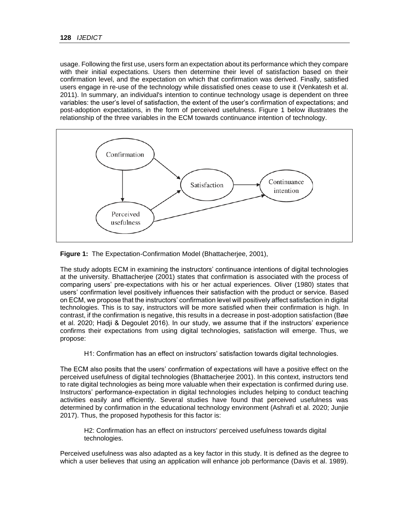usage. Following the first use, users form an expectation about its performance which they compare with their initial expectations. Users then determine their level of satisfaction based on their confirmation level, and the expectation on which that confirmation was derived. Finally, satisfied users engage in re-use of the technology while dissatisfied ones cease to use it (Venkatesh et al. 2011). In summary, an individual's intention to continue technology usage is dependent on three variables: the user's level of satisfaction, the extent of the user's confirmation of expectations; and post-adoption expectations, in the form of perceived usefulness. Figure 1 below illustrates the relationship of the three variables in the ECM towards continuance intention of technology.



**Figure 1:** The Expectation-Confirmation Model (Bhattacherjee, 2001),

The study adopts ECM in examining the instructors' continuance intentions of digital technologies at the university. Bhattacherjee (2001) states that confirmation is associated with the process of comparing users' pre-expectations with his or her actual experiences. Oliver (1980) states that users' confirmation level positively influences their satisfaction with the product or service. Based on ECM, we propose that the instructors' confirmation level will positively affect satisfaction in digital technologies. This is to say, instructors will be more satisfied when their confirmation is high. In contrast, if the confirmation is negative, this results in a decrease in post-adoption satisfaction (Bøe et al. 2020; Hadji & Degoulet 2016). In our study, we assume that if the instructors' experience confirms their expectations from using digital technologies, satisfaction will emerge. Thus, we propose:

H1: Confirmation has an effect on instructors' satisfaction towards digital technologies.

The ECM also posits that the users' confirmation of expectations will have a positive effect on the perceived usefulness of digital technologies (Bhattacherjee 2001). In this context, instructors tend to rate digital technologies as being more valuable when their expectation is confirmed during use. Instructors' performance-expectation in digital technologies includes helping to conduct teaching activities easily and efficiently. Several studies have found that perceived usefulness was determined by confirmation in the educational technology environment (Ashrafi et al. 2020; Junjie 2017). Thus, the proposed hypothesis for this factor is:

H2: Confirmation has an effect on instructors' perceived usefulness towards digital technologies.

Perceived usefulness was also adapted as a key factor in this study. It is defined as the degree to which a user believes that using an application will enhance job performance (Davis et al. 1989).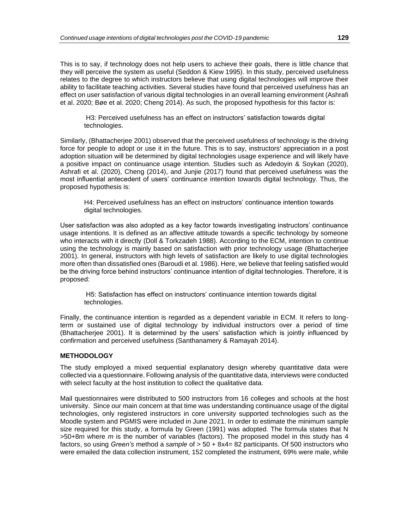This is to say, if technology does not help users to achieve their goals, there is little chance that they will perceive the system as useful (Seddon & Kiew 1995). In this study, perceived usefulness relates to the degree to which instructors believe that using digital technologies will improve their ability to facilitate teaching activities. Several studies have found that perceived usefulness has an effect on user satisfaction of various digital technologies in an overall learning environment (Ashrafi et al. 2020; Bøe et al. 2020; Cheng 2014). As such, the proposed hypothesis for this factor is:

H3: Perceived usefulness has an effect on instructors' satisfaction towards digital technologies.

Similarly, (Bhattacherjee 2001) observed that the perceived usefulness of technology is the driving force for people to adopt or use it in the future. This is to say, instructors' appreciation in a post adoption situation will be determined by digital technologies usage experience and will likely have a positive impact on continuance usage intention. Studies such as Adedoyin & Soykan (2020), Ashrafi et al. (2020), Cheng (2014), and Junjie (2017) found that perceived usefulness was the most influential antecedent of users' continuance intention towards digital technology. Thus, the proposed hypothesis is:

H4: Perceived usefulness has an effect on instructors' continuance intention towards digital technologies.

User satisfaction was also adopted as a key factor towards investigating instructors' continuance usage intentions. It is defined as an affective attitude towards a specific technology by someone who interacts with it directly (Doll & Torkzadeh 1988). According to the ECM, intention to continue using the technology is mainly based on satisfaction with prior technology usage (Bhattacherjee 2001). In general, instructors with high levels of satisfaction are likely to use digital technologies more often than dissatisfied ones (Baroudi et al. 1986). Here, we believe that feeling satisfied would be the driving force behind instructors' continuance intention of digital technologies. Therefore, it is proposed:

H5: Satisfaction has effect on instructors' continuance intention towards digital technologies.

Finally, the continuance intention is regarded as a dependent variable in ECM. It refers to longterm or sustained use of digital technology by individual instructors over a period of time (Bhattacherjee 2001). It is determined by the users' satisfaction which is jointly influenced by confirmation and perceived usefulness (Santhanamery & Ramayah 2014).

# **METHODOLOGY**

The study employed a mixed sequential explanatory design whereby quantitative data were collected via a questionnaire. Following analysis of the quantitative data, interviews were conducted with select faculty at the host institution to collect the qualitative data.

Mail questionnaires were distributed to 500 instructors from 16 colleges and schools at the host university. Since our main concern at that time was understanding continuance usage of the digital technologies, only registered instructors in core university supported technologies such as the Moodle system and PGMIS were included in June 2021. In order to estimate the minimum sample size required for this study, a formula by Green (1991) was adopted. The formula states that N >50+8m where *m* is the number of variables (factors). The proposed model in this study has 4 factors, so using *Green's* method a *sample* of > 50 + 8x4= 82 participants. Of 500 instructors who were emailed the data collection instrument, 152 completed the instrument, 69% were male, while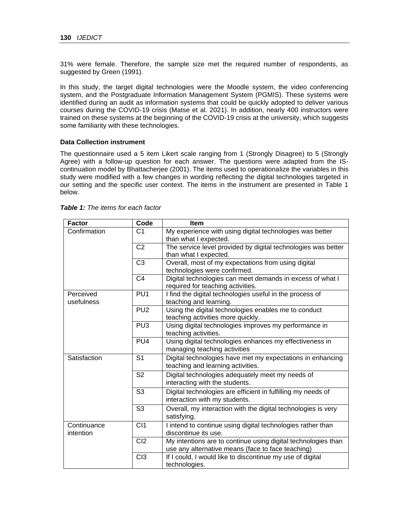31% were female. Therefore, the sample size met the required number of respondents, as suggested by Green (1991).

In this study, the target digital technologies were the Moodle system, the video conferencing system, and the Postgraduate Information Management System (PGMIS). These systems were identified during an audit as information systems that could be quickly adopted to deliver various courses during the COVID-19 crisis (Matse et al. 2021). In addition, nearly 400 instructors were trained on these systems at the beginning of the COVID-19 crisis at the university, which suggests some familiarity with these technologies.

## **Data Collection instrument**

The questionnaire used a 5 item Likert scale ranging from 1 (Strongly Disagree) to 5 (Strongly Agree) with a follow-up question for each answer. The questions were adapted from the IScontinuation model by Bhattacherjee (2001). The items used to operationalize the variables in this study were modified with a few changes in wording reflecting the digital technologies targeted in our setting and the specific user context. The items in the instrument are presented in Table 1 below.

| <b>Factor</b> | Code            | <b>Item</b>                                                   |
|---------------|-----------------|---------------------------------------------------------------|
| Confirmation  | C <sub>1</sub>  | My experience with using digital technologies was better      |
|               |                 | than what I expected.                                         |
|               | C <sub>2</sub>  | The service level provided by digital technologies was better |
|               |                 | than what I expected.                                         |
|               | C <sub>3</sub>  | Overall, most of my expectations from using digital           |
|               |                 | technologies were confirmed.                                  |
|               | C <sub>4</sub>  | Digital technologies can meet demands in excess of what I     |
|               |                 | required for teaching activities.                             |
| Perceived     | PU <sub>1</sub> | I find the digital technologies useful in the process of      |
| usefulness    |                 | teaching and learning.                                        |
|               | PU <sub>2</sub> | Using the digital technologies enables me to conduct          |
|               |                 | teaching activities more quickly.                             |
|               | PU <sub>3</sub> | Using digital technologies improves my performance in         |
|               |                 | teaching activities.                                          |
|               | PU <sub>4</sub> | Using digital technologies enhances my effectiveness in       |
|               |                 | managing teaching activities                                  |
| Satisfaction  | S <sub>1</sub>  | Digital technologies have met my expectations in enhancing    |
|               |                 | teaching and learning activities.                             |
|               | S <sub>2</sub>  | Digital technologies adequately meet my needs of              |
|               |                 | interacting with the students.                                |
|               | S <sub>3</sub>  | Digital technologies are efficient in fulfilling my needs of  |
|               |                 | interaction with my students.                                 |
|               | S <sub>3</sub>  | Overall, my interaction with the digital technologies is very |
|               |                 | satisfying.                                                   |
| Continuance   | CI1             | I intend to continue using digital technologies rather than   |
| intention     |                 | discontinue its use.                                          |
|               | C <sub>12</sub> | My intentions are to continue using digital technologies than |
|               |                 | use any alternative means (face to face teaching)             |
|               | C13             | If I could, I would like to discontinue my use of digital     |
|               |                 | technologies.                                                 |

| <b>Table 1:</b> The items for each factor |  |  |  |  |  |  |  |  |
|-------------------------------------------|--|--|--|--|--|--|--|--|
|-------------------------------------------|--|--|--|--|--|--|--|--|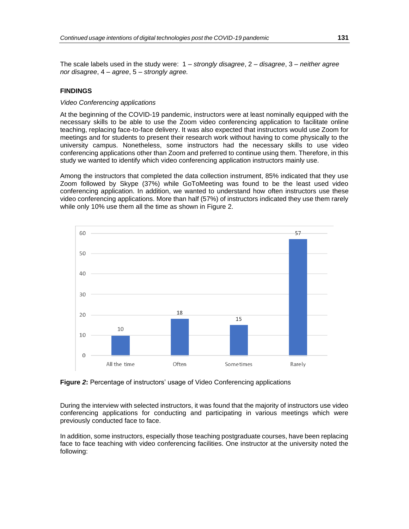The scale labels used in the study were: 1 – *strongly disagree*, 2 – *disagree*, 3 – *neither agree nor disagree*, 4 – *agree*, 5 – *strongly agree.*

### **FINDINGS**

## *Video Conferencing applications*

At the beginning of the COVID-19 pandemic, instructors were at least nominally equipped with the necessary skills to be able to use the Zoom video conferencing application to facilitate online teaching, replacing face-to-face delivery. It was also expected that instructors would use Zoom for meetings and for students to present their research work without having to come physically to the university campus. Nonetheless, some instructors had the necessary skills to use video conferencing applications other than Zoom and preferred to continue using them. Therefore, in this study we wanted to identify which video conferencing application instructors mainly use.

Among the instructors that completed the data collection instrument, 85% indicated that they use Zoom followed by Skype (37%) while GoToMeeting was found to be the least used video conferencing application. In addition, we wanted to understand how often instructors use these video conferencing applications. More than half (57%) of instructors indicated they use them rarely while only 10% use them all the time as shown in Figure 2.



**Figure** *2***:** Percentage of instructors' usage of Video Conferencing applications

During the interview with selected instructors, it was found that the majority of instructors use video conferencing applications for conducting and participating in various meetings which were previously conducted face to face.

In addition, some instructors, especially those teaching postgraduate courses, have been replacing face to face teaching with video conferencing facilities. One instructor at the university noted the following: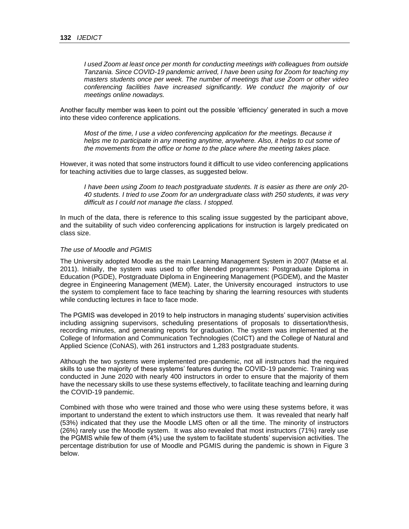*I used Zoom at least once per month for conducting meetings with colleagues from outside Tanzania. Since COVID-19 pandemic arrived, I have been using for Zoom for teaching my masters students once per week. The number of meetings that use Zoom or other video conferencing facilities have increased significantly. We conduct the majority of our meetings online nowadays.*

Another faculty member was keen to point out the possible 'efficiency' generated in such a move into these video conference applications.

*Most of the time, I use a video conferencing application for the meetings. Because it helps me to participate in any meeting anytime, anywhere. Also, it helps to cut some of the movements from the office or home to the place where the meeting takes place.*

However, it was noted that some instructors found it difficult to use video conferencing applications for teaching activities due to large classes, as suggested below.

*I have been using Zoom to teach postgraduate students. It is easier as there are only 20- 40 students. I tried to use Zoom for an undergraduate class with 250 students, it was very difficult as I could not manage the class. I stopped.*

In much of the data, there is reference to this scaling issue suggested by the participant above, and the suitability of such video conferencing applications for instruction is largely predicated on class size.

## *The use of Moodle and PGMIS*

The University adopted Moodle as the main Learning Management System in 2007 (Matse et al. 2011). Initially, the system was used to offer blended programmes: Postgraduate Diploma in Education (PGDE), Postgraduate Diploma in Engineering Management (PGDEM), and the Master degree in Engineering Management (MEM). Later, the University encouraged instructors to use the system to complement face to face teaching by sharing the learning resources with students while conducting lectures in face to face mode.

The PGMIS was developed in 2019 to help instructors in managing students' supervision activities including assigning supervisors, scheduling presentations of proposals to dissertation/thesis, recording minutes, and generating reports for graduation. The system was implemented at the College of Information and Communication Technologies (CoICT) and the College of Natural and Applied Science (CoNAS), with 261 instructors and 1,283 postgraduate students.

Although the two systems were implemented pre-pandemic, not all instructors had the required skills to use the majority of these systems' features during the COVID-19 pandemic. Training was conducted in June 2020 with nearly 400 instructors in order to ensure that the majority of them have the necessary skills to use these systems effectively, to facilitate teaching and learning during the COVID-19 pandemic.

Combined with those who were trained and those who were using these systems before, it was important to understand the extent to which instructors use them. It was revealed that nearly half (53%) indicated that they use the Moodle LMS often or all the time. The minority of instructors (26%) rarely use the Moodle system. It was also revealed that most instructors (71%) rarely use the PGMIS while few of them (4%) use the system to facilitate students' supervision activities. The percentage distribution for use of Moodle and PGMIS during the pandemic is shown in Figure 3 below.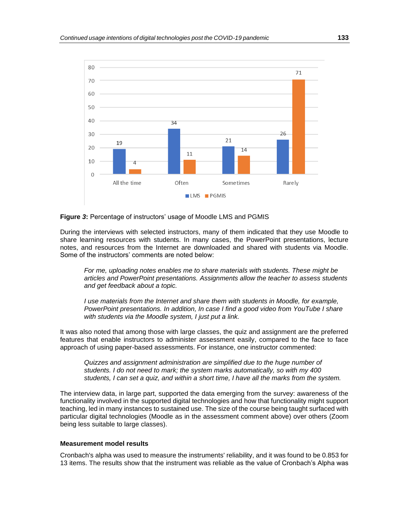

#### **Figure** *3***:** Percentage of instructors' usage of Moodle LMS and PGMIS

During the interviews with selected instructors, many of them indicated that they use Moodle to share learning resources with students. In many cases, the PowerPoint presentations, lecture notes, and resources from the Internet are downloaded and shared with students via Moodle. Some of the instructors' comments are noted below:

*For me, uploading notes enables me to share materials with students. These might be articles and PowerPoint presentations. Assignments allow the teacher to assess students and get feedback about a topic.* 

*I* use materials from the Internet and share them with students in Moodle, for example, *PowerPoint presentations. In addition, In case I find a good video from YouTube I share with students via the Moodle system, I just put a link.*

It was also noted that among those with large classes, the quiz and assignment are the preferred features that enable instructors to administer assessment easily, compared to the face to face approach of using paper-based assessments. For instance, one instructor commented:

*Quizzes and assignment administration are simplified due to the huge number of students. I do not need to mark; the system marks automatically, so with my 400 students, I can set a quiz, and within a short time, I have all the marks from the system.*

The interview data, in large part, supported the data emerging from the survey: awareness of the functionality involved in the supported digital technologies and how that functionality might support teaching, led in many instances to sustained use. The size of the course being taught surfaced with particular digital technologies (Moodle as in the assessment comment above) over others (Zoom being less suitable to large classes).

#### **Measurement model results**

Cronbach's alpha was used to measure the instruments' reliability, and it was found to be 0.853 for 13 items. The results show that the instrument was reliable as the value of Cronbach's Alpha was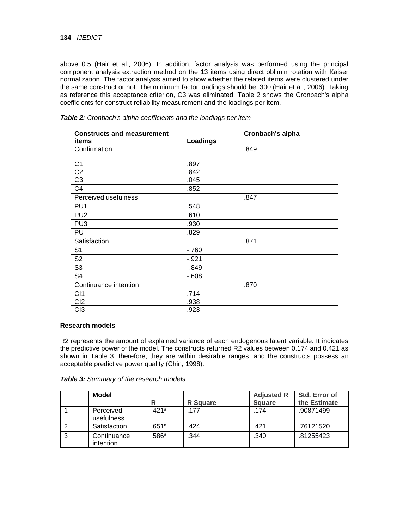above 0.5 (Hair et al., 2006). In addition, factor analysis was performed using the principal component analysis extraction method on the 13 items using direct oblimin rotation with Kaiser normalization. The factor analysis aimed to show whether the related items were clustered under the same construct or not. The minimum factor loadings should be .300 (Hair et al., 2006). Taking as reference this acceptance criterion, C3 was eliminated. Table 2 shows the Cronbach's alpha coefficients for construct reliability measurement and the loadings per item.

| <b>Constructs and measurement</b> |          | Cronbach's alpha |
|-----------------------------------|----------|------------------|
| items                             | Loadings |                  |
| Confirmation                      |          | .849             |
| C <sub>1</sub>                    | .897     |                  |
| C <sub>2</sub>                    | .842     |                  |
| C <sub>3</sub>                    | .045     |                  |
| C <sub>4</sub>                    | .852     |                  |
| Perceived usefulness              |          | .847             |
| PU <sub>1</sub>                   | .548     |                  |
| PU <sub>2</sub>                   | .610     |                  |
| PU <sub>3</sub>                   | .930     |                  |
| PU                                | .829     |                  |
| Satisfaction                      |          | .871             |
| S <sub>1</sub>                    | $-760$   |                  |
| S <sub>2</sub>                    | $-.921$  |                  |
| S <sub>3</sub>                    | $-0.849$ |                  |
| S <sub>4</sub>                    | $-0.608$ |                  |
| Continuance intention             |          | .870             |
| C <sub>11</sub>                   | .714     |                  |
| C <sub>12</sub>                   | .938     |                  |
| C <sub>13</sub>                   | .923     |                  |

*Table 2: Cronbach's alpha coefficients and the loadings per item*

#### **Research models**

R2 represents the amount of explained variance of each endogenous latent variable. It indicates the predictive power of the model. The constructs returned R2 values between 0.174 and 0.421 as shown in Table 3, therefore, they are within desirable ranges, and the constructs possess an acceptable predictive power quality (Chin, 1998).

|   | Model                           |       |                 | <b>Adjusted R</b> | Std. Error of |
|---|---------------------------------|-------|-----------------|-------------------|---------------|
|   |                                 | R     | <b>R</b> Square | <b>Square</b>     | the Estimate  |
|   | Perceived<br>usefulness         | 421a  | .177            | .174              | .90871499     |
|   | Satisfaction                    | .651ª | .424            | .421              | .76121520     |
| 3 | Continuance<br><i>intention</i> | .586ª | .344            | .340              | .81255423     |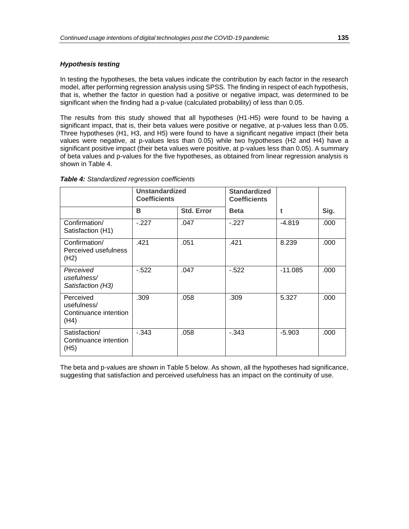# *Hypothesis testing*

In testing the hypotheses, the beta values indicate the contribution by each factor in the research model, after performing regression analysis using SPSS. The finding in respect of each hypothesis, that is, whether the factor in question had a positive or negative impact, was determined to be significant when the finding had a p-value (calculated probability) of less than 0.05.

The results from this study showed that all hypotheses (H1-H5) were found to be having a significant impact, that is, their beta values were positive or negative, at p-values less than 0.05. Three hypotheses (H1, H3, and H5) were found to have a significant negative impact (their beta values were negative, at p-values less than 0.05) while two hypotheses (H2 and H4) have a significant positive impact (their beta values were positive, at p-values less than 0.05). A summary of beta values and p-values for the five hypotheses, as obtained from linear regression analysis is shown in Table 4.

|                                                           | <b>Unstandardized</b><br><b>Coefficients</b> |                   | <b>Standardized</b><br><b>Coefficients</b> |           |      |
|-----------------------------------------------------------|----------------------------------------------|-------------------|--------------------------------------------|-----------|------|
|                                                           | В                                            | <b>Std. Error</b> | <b>Beta</b>                                | t         | Sig. |
| Confirmation/<br>Satisfaction (H1)                        | $-227$                                       | .047              | $-227$                                     | $-4.819$  | .000 |
| Confirmation/<br>Perceived usefulness<br>(H2)             | .421                                         | .051              | .421                                       | 8.239     | .000 |
| Perceived<br>usefulness/<br>Satisfaction (H3)             | $-522$                                       | .047              | $-522$                                     | $-11.085$ | .000 |
| Perceived<br>usefulness/<br>Continuance intention<br>(H4) | .309                                         | .058              | .309                                       | 5.327     | .000 |
| Satisfaction/<br>Continuance intention<br>(H5)            | $-0.343$                                     | .058              | $-0.343$                                   | $-5.903$  | .000 |

#### *Table 4: Standardized regression coefficients*

The beta and p-values are shown in Table 5 below. As shown, all the hypotheses had significance, suggesting that satisfaction and perceived usefulness has an impact on the continuity of use.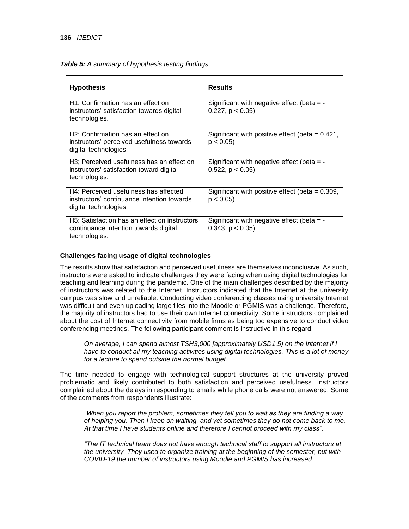| Table 5: A summary of hypothesis testing findings |  |  |
|---------------------------------------------------|--|--|
|                                                   |  |  |

| <b>Hypothesis</b>                                                                                                     | <b>Results</b>                                                         |
|-----------------------------------------------------------------------------------------------------------------------|------------------------------------------------------------------------|
| H1: Confirmation has an effect on<br>instructors' satisfaction towards digital<br>technologies.                       | Significant with negative effect (beta $=$ -<br>$0.227$ , $p < 0.05$ ) |
| H <sub>2</sub> : Confirmation has an effect on<br>instructors' perceived usefulness towards<br>digital technologies.  | Significant with positive effect (beta $= 0.421$ ,<br>p < 0.05         |
| H <sub>3</sub> ; Perceived usefulness has an effect on<br>instructors' satisfaction toward digital<br>technologies.   | Significant with negative effect (beta $=$ -<br>$0.522$ , $p < 0.05$ ) |
| H4: Perceived usefulness has affected<br>instructors' continuance intention towards<br>digital technologies.          | Significant with positive effect (beta = $0.309$ ,<br>p < 0.05         |
| H <sub>5</sub> : Satisfaction has an effect on instructors'<br>continuance intention towards digital<br>technologies. | Significant with negative effect (beta $=$ -<br>$0.343$ , $p < 0.05$ ) |

#### **Challenges facing usage of digital technologies**

The results show that satisfaction and perceived usefulness are themselves inconclusive. As such, instructors were asked to indicate challenges they were facing when using digital technologies for teaching and learning during the pandemic. One of the main challenges described by the majority of instructors was related to the Internet. Instructors indicated that the Internet at the university campus was slow and unreliable. Conducting video conferencing classes using university Internet was difficult and even uploading large files into the Moodle or PGMIS was a challenge. Therefore, the majority of instructors had to use their own Internet connectivity. Some instructors complained about the cost of Internet connectivity from mobile firms as being too expensive to conduct video conferencing meetings. The following participant comment is instructive in this regard.

*On average, I can spend almost TSH3,000 [approximately USD1.5) on the Internet if I have to conduct all my teaching activities using digital technologies. This is a lot of money for a lecture to spend outside the normal budget.*

The time needed to engage with technological support structures at the university proved problematic and likely contributed to both satisfaction and perceived usefulness. Instructors complained about the delays in responding to emails while phone calls were not answered. Some of the comments from respondents illustrate:

*"When you report the problem, sometimes they tell you to wait as they are finding a way of helping you. Then I keep on waiting, and yet sometimes they do not come back to me. At that time I have students online and therefore I cannot proceed with my class".* 

*"The IT technical team does not have enough technical staff to support all instructors at the university. They used to organize training at the beginning of the semester, but with COVID-19 the number of instructors using Moodle and PGMIS has increased*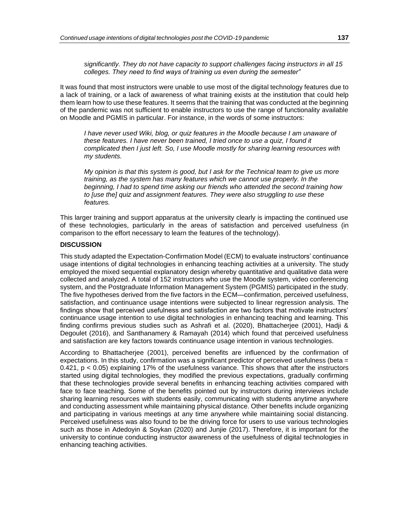*significantly. They do not have capacity to support challenges facing instructors in all 15 colleges. They need to find ways of training us even during the semester"* 

It was found that most instructors were unable to use most of the digital technology features due to a lack of training, or a lack of awareness of what training exists at the institution that could help them learn how to use these features. It seems that the training that was conducted at the beginning of the pandemic was not sufficient to enable instructors to use the range of functionality available on Moodle and PGMIS in particular. For instance, in the words of some instructors:

*I have never used Wiki, blog, or quiz features in the Moodle because I am unaware of these features. I have never been trained, I tried once to use a quiz, I found it complicated then I just left. So, I use Moodle mostly for sharing learning resources with my students.* 

*My opinion is that this system is good, but I ask for the Technical team to give us more training, as the system has many features which we cannot use properly. In the beginning, I had to spend time asking our friends who attended the second training how to [use the] quiz and assignment features. They were also struggling to use these features.* 

This larger training and support apparatus at the university clearly is impacting the continued use of these technologies, particularly in the areas of satisfaction and perceived usefulness (in comparison to the effort necessary to learn the features of the technology).

## **DISCUSSION**

This study adapted the Expectation-Confirmation Model (ECM) to evaluate instructors' continuance usage intentions of digital technologies in enhancing teaching activities at a university. The study employed the mixed sequential explanatory design whereby quantitative and qualitative data were collected and analyzed. A total of 152 instructors who use the Moodle system, video conferencing system, and the Postgraduate Information Management System (PGMIS) participated in the study. The five hypotheses derived from the five factors in the ECM—confirmation, perceived usefulness, satisfaction, and continuance usage intentions were subjected to linear regression analysis. The findings show that perceived usefulness and satisfaction are two factors that motivate instructors' continuance usage intention to use digital technologies in enhancing teaching and learning. This finding confirms previous studies such as Ashrafi et al. (2020), Bhattacherjee (2001), Hadji & Degoulet (2016), and Santhanamery & Ramayah (2014) which found that perceived usefulness and satisfaction are key factors towards continuance usage intention in various technologies.

According to Bhattacherjee (2001), perceived benefits are influenced by the confirmation of expectations. In this study, confirmation was a significant predictor of perceived usefulness (beta = 0.421, p < 0.05) explaining 17% of the usefulness variance. This shows that after the instructors started using digital technologies, they modified the previous expectations, gradually confirming that these technologies provide several benefits in enhancing teaching activities compared with face to face teaching. Some of the benefits pointed out by instructors during interviews include sharing learning resources with students easily, communicating with students anytime anywhere and conducting assessment while maintaining physical distance. Other benefits include organizing and participating in various meetings at any time anywhere while maintaining social distancing. Perceived usefulness was also found to be the driving force for users to use various technologies such as those in Adedoyin & Soykan (2020) and Junjie (2017). Therefore, it is important for the university to continue conducting instructor awareness of the usefulness of digital technologies in enhancing teaching activities.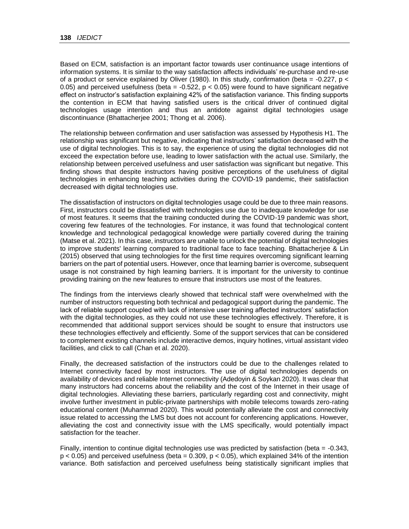Based on ECM, satisfaction is an important factor towards user continuance usage intentions of information systems. It is similar to the way satisfaction affects individuals' re-purchase and re-use of a product or service explained by Oliver (1980). In this study, confirmation (beta =  $-0.227$ , p < 0.05) and perceived usefulness (beta  $=$  -0.522, p < 0.05) were found to have significant negative effect on instructor's satisfaction explaining 42% of the satisfaction variance. This finding supports the contention in ECM that having satisfied users is the critical driver of continued digital technologies usage intention and thus an antidote against digital technologies usage discontinuance (Bhattacherjee 2001; Thong et al. 2006).

The relationship between confirmation and user satisfaction was assessed by Hypothesis H1. The relationship was significant but negative, indicating that instructors' satisfaction decreased with the use of digital technologies. This is to say, the experience of using the digital technologies did not exceed the expectation before use, leading to lower satisfaction with the actual use. Similarly, the relationship between perceived usefulness and user satisfaction was significant but negative. This finding shows that despite instructors having positive perceptions of the usefulness of digital technologies in enhancing teaching activities during the COVID-19 pandemic, their satisfaction decreased with digital technologies use.

The dissatisfaction of instructors on digital technologies usage could be due to three main reasons. First, instructors could be dissatisfied with technologies use due to inadequate knowledge for use of most features. It seems that the training conducted during the COVID-19 pandemic was short, covering few features of the technologies. For instance, it was found that technological content knowledge and technological pedagogical knowledge were partially covered during the training (Matse et al. 2021). In this case, instructors are unable to unlock the potential of digital technologies to improve students' learning compared to traditional face to face teaching. Bhattacherjee & Lin (2015) observed that using technologies for the first time requires overcoming significant learning barriers on the part of potential users. However, once that learning barrier is overcome, subsequent usage is not constrained by high learning barriers. It is important for the university to continue providing training on the new features to ensure that instructors use most of the features.

The findings from the interviews clearly showed that technical staff were overwhelmed with the number of instructors requesting both technical and pedagogical support during the pandemic. The lack of reliable support coupled with lack of intensive user training affected instructors' satisfaction with the digital technologies, as they could not use these technologies effectively. Therefore, it is recommended that additional support services should be sought to ensure that instructors use these technologies effectively and efficiently. Some of the support services that can be considered to complement existing channels include interactive demos, inquiry hotlines, virtual assistant video facilities, and click to call (Chan et al. 2020).

Finally, the decreased satisfaction of the instructors could be due to the challenges related to Internet connectivity faced by most instructors. The use of digital technologies depends on availability of devices and reliable Internet connectivity (Adedoyin & Soykan 2020). It was clear that many instructors had concerns about the reliability and the cost of the Internet in their usage of digital technologies. Alleviating these barriers, particularly regarding cost and connectivity, might involve further investment in public-private partnerships with mobile telecoms towards zero-rating educational content (Muhammad 2020). This would potentially alleviate the cost and connectivity issue related to accessing the LMS but does not account for conferencing applications. However, alleviating the cost and connectivity issue with the LMS specifically, would potentially impact satisfaction for the teacher.

Finally, intention to continue digital technologies use was predicted by satisfaction (beta = -0.343,  $p < 0.05$ ) and perceived usefulness (beta = 0.309,  $p < 0.05$ ), which explained 34% of the intention variance. Both satisfaction and perceived usefulness being statistically significant implies that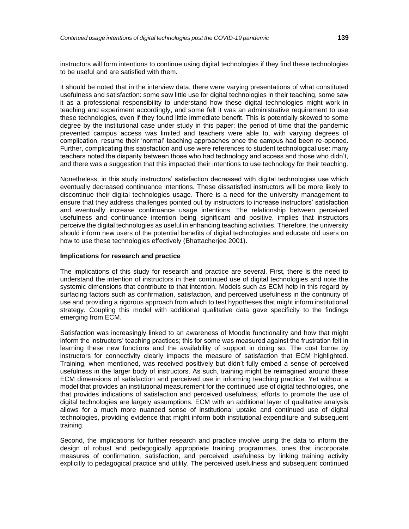instructors will form intentions to continue using digital technologies if they find these technologies to be useful and are satisfied with them.

It should be noted that in the interview data, there were varying presentations of what constituted usefulness and satisfaction: some saw little use for digital technologies in their teaching, some saw it as a professional responsibility to understand how these digital technologies might work in teaching and experiment accordingly, and some felt it was an administrative requirement to use these technologies, even if they found little immediate benefit. This is potentially skewed to some degree by the institutional case under study in this paper: the period of time that the pandemic prevented campus access was limited and teachers were able to, with varying degrees of complication, resume their 'normal' teaching approaches once the campus had been re-opened. Further, complicating this satisfaction and use were references to student technological use: many teachers noted the disparity between those who had technology and access and those who didn't, and there was a suggestion that this impacted their intentions to use technology for their teaching.

Nonetheless, in this study instructors' satisfaction decreased with digital technologies use which eventually decreased continuance intentions. These dissatisfied instructors will be more likely to discontinue their digital technologies usage. There is a need for the university management to ensure that they address challenges pointed out by instructors to increase instructors' satisfaction and eventually increase continuance usage intentions. The relationship between perceived usefulness and continuance intention being significant and positive, implies that instructors perceive the digital technologies as useful in enhancing teaching activities. Therefore, the university should inform new users of the potential benefits of digital technologies and educate old users on how to use these technologies effectively (Bhattacherjee 2001).

#### **Implications for research and practice**

The implications of this study for research and practice are several. First, there is the need to understand the intention of instructors in their continued use of digital technologies and note the systemic dimensions that contribute to that intention. Models such as ECM help in this regard by surfacing factors such as confirmation, satisfaction, and perceived usefulness in the continuity of use and providing a rigorous approach from which to test hypotheses that might inform institutional strategy. Coupling this model with additional qualitative data gave specificity to the findings emerging from ECM.

Satisfaction was increasingly linked to an awareness of Moodle functionality and how that might inform the instructors' teaching practices; this for some was measured against the frustration felt in learning these new functions and the availability of support in doing so. The cost borne by instructors for connectivity clearly impacts the measure of satisfaction that ECM highlighted. Training, when mentioned, was received positively but didn't fully embed a sense of perceived usefulness in the larger body of instructors. As such, training might be reimagined around these ECM dimensions of satisfaction and perceived use in informing teaching practice. Yet without a model that provides an institutional measurement for the continued use of digital technologies, one that provides indications of satisfaction and perceived usefulness, efforts to promote the use of digital technologies are largely assumptions. ECM with an additional layer of qualitative analysis allows for a much more nuanced sense of institutional uptake and continued use of digital technologies, providing evidence that might inform both institutional expenditure and subsequent training.

Second, the implications for further research and practice involve using the data to inform the design of robust and pedagogically appropriate training programmes, ones that incorporate measures of confirmation, satisfaction, and perceived usefulness by linking training activity explicitly to pedagogical practice and utility. The perceived usefulness and subsequent continued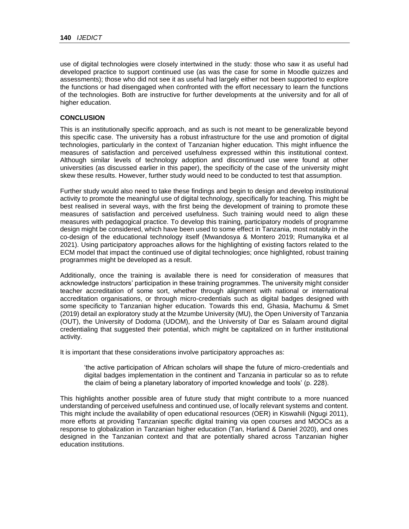use of digital technologies were closely intertwined in the study: those who saw it as useful had developed practice to support continued use (as was the case for some in Moodle quizzes and assessments); those who did not see it as useful had largely either not been supported to explore the functions or had disengaged when confronted with the effort necessary to learn the functions of the technologies. Both are instructive for further developments at the university and for all of higher education.

## **CONCLUSION**

This is an institutionally specific approach, and as such is not meant to be generalizable beyond this specific case. The university has a robust infrastructure for the use and promotion of digital technologies, particularly in the context of Tanzanian higher education. This might influence the measures of satisfaction and perceived usefulness expressed within this institutional context. Although similar levels of technology adoption and discontinued use were found at other universities (as discussed earlier in this paper), the specificity of the case of the university might skew these results. However, further study would need to be conducted to test that assumption.

Further study would also need to take these findings and begin to design and develop institutional activity to promote the meaningful use of digital technology, specifically for teaching. This might be best realised in several ways, with the first being the development of training to promote these measures of satisfaction and perceived usefulness. Such training would need to align these measures with pedagogical practice. To develop this training, participatory models of programme design might be considered, which have been used to some effect in Tanzania, most notably in the co-design of the educational technology itself (Mwandosya & Montero 2019; Rumanyika et al 2021). Using participatory approaches allows for the highlighting of existing factors related to the ECM model that impact the continued use of digital technologies; once highlighted, robust training programmes might be developed as a result.

Additionally, once the training is available there is need for consideration of measures that acknowledge instructors' participation in these training programmes. The university might consider teacher accreditation of some sort, whether through alignment with national or international accreditation organisations, or through micro-credentials such as digital badges designed with some specificity to Tanzanian higher education. Towards this end, Ghasia, Machumu & Smet (2019) detail an exploratory study at the Mzumbe University (MU), the Open University of Tanzania (OUT), the University of Dodoma (UDOM), and the University of Dar es Salaam around digital credentialing that suggested their potential, which might be capitalized on in further institutional activity.

It is important that these considerations involve participatory approaches as:

'the active participation of African scholars will shape the future of micro-credentials and digital badges implementation in the continent and Tanzania in particular so as to refute the claim of being a planetary laboratory of imported knowledge and tools' (p. 228).

This highlights another possible area of future study that might contribute to a more nuanced understanding of perceived usefulness and continued use, of locally relevant systems and content. This might include the availability of open educational resources (OER) in Kiswahili (Ngugi 2011), more efforts at providing Tanzanian specific digital training via open courses and MOOCs as a response to globalization in Tanzanian higher education (Tan, Harland & Daniel 2020), and ones designed in the Tanzanian context and that are potentially shared across Tanzanian higher education institutions.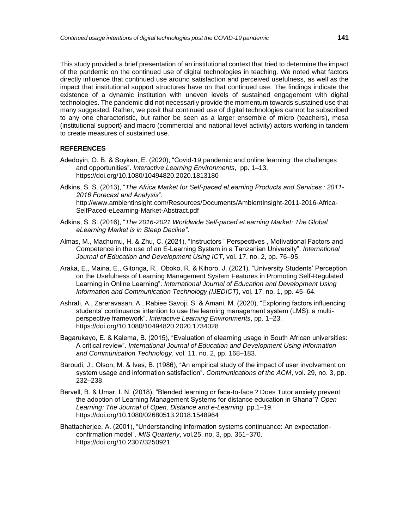This study provided a brief presentation of an institutional context that tried to determine the impact of the pandemic on the continued use of digital technologies in teaching. We noted what factors directly influence that continued use around satisfaction and perceived usefulness, as well as the impact that institutional support structures have on that continued use. The findings indicate the existence of a dynamic institution with uneven levels of sustained engagement with digital technologies. The pandemic did not necessarily provide the momentum towards sustained use that many suggested. Rather, we posit that continued use of digital technologies cannot be subscribed to any one characteristic, but rather be seen as a larger ensemble of micro (teachers), mesa (institutional support) and macro (commercial and national level activity) actors working in tandem to create measures of sustained use.

### **REFERENCES**

- Adedoyin, O. B. & Soykan, E. (2020), "Covid-19 pandemic and online learning: the challenges and opportunities". *Interactive Learning Environments*, pp. 1–13. https://doi.org/10.1080/10494820.2020.1813180
- Adkins, S. S. (2013), "*The Africa Market for Self-paced eLearning Products and Services : 2011- 2016 Forecast and Analysis"*. http://www.ambientinsight.com/Resources/Documents/AmbientInsight-2011-2016-Africa-SelfPaced-eLearning-Market-Abstract.pdf
- Adkins, S. S. (2016), "*The 2016-2021 Worldwide Self-paced eLearning Market: The Global eLearning Market is in Steep Decline"*.
- Almas, M., Machumu, H. & Zhu, C. (2021), "Instructors ' Perspectives , Motivational Factors and Competence in the use of an E-Learning System in a Tanzanian University". *International Journal of Education and Development Using ICT*, vol. 17, no. 2, pp. 76–95.
- Araka, E., Maina, E., Gitonga, R., Oboko, R. & Kihoro, J. (2021), "University Students' Perception on the Usefulness of Learning Management System Features in Promoting Self-Regulated Learning in Online Learning". *International Journal of Education and Development Using Information and Communication Technology (IJEDICT)*, vol. 17, no. 1, pp*.* 45–64.
- Ashrafi, A., Zareravasan, A., Rabiee Savoji, S. & Amani, M. (2020), "Exploring factors influencing students' continuance intention to use the learning management system (LMS): a multiperspective framework". *Interactive Learning Environments*, pp. 1–23. https://doi.org/10.1080/10494820.2020.1734028
- Bagarukayo, E. & Kalema, B. (2015), "Evaluation of elearning usage in South African universities: A critical review". *International Journal of Education and Development Using Information and Communication Technology*, vol. 11, no. 2, pp. 168–183.
- Baroudi, J., Olson, M. & Ives, B. (1986), "An empirical study of the impact of user involvement on system usage and information satisfaction". *Communications of the ACM*, vol. 29, no. 3, pp. 232–238.
- Bervell, B. & Umar, I. N. (2018), "Blended learning or face-to-face ? Does Tutor anxiety prevent the adoption of Learning Management Systems for distance education in Ghana"? *Open Learning: The Journal of Open, Distance and e-Learning*, pp.1–19. https://doi.org/10.1080/02680513.2018.1548964
- Bhattacherjee, A. (2001), "Understanding information systems continuance: An expectationconfirmation model". *MIS Quarterly*, vol*.*25, no. 3, pp. 351–370. https://doi.org/10.2307/3250921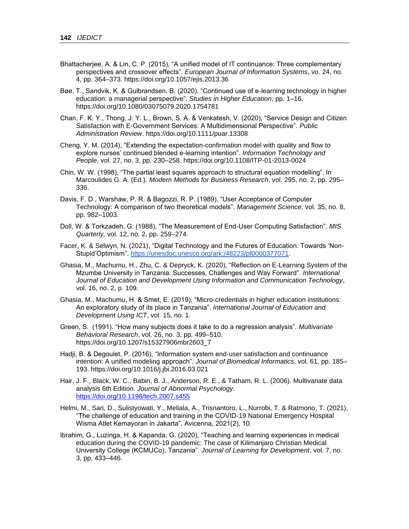- Bhattacherjee, A. & Lin, C. P. (2015), "A unified model of IT continuance: Three complementary perspectives and crossover effects". *European Journal of Information Systems*, vo. 24, no. 4, pp. 364–373. https://doi.org/10.1057/ejis.2013.36
- Bøe, T., Sandvik, K. & Gulbrandsen, B. (2020), "Continued use of e-learning technology in higher education: a managerial perspective". *Studies in Higher Education*, pp. 1–16. https://doi.org/10.1080/03075079.2020.1754781
- Chan, F. K. Y., Thong, J. Y. L., Brown, S. A. & Venkatesh, V. (2020), "Service Design and Citizen Satisfaction with E-Government Services: A Multidimensional Perspective". *Public Administration Review*. https://doi.org/10.1111/puar.13308
- Cheng, Y. M. (2014), "Extending the expectation-confirmation model with quality and flow to explore nurses' continued blended e-learning intention". *Information Technology and People*, vol. 27, no. 3, pp. 230–258. https://doi.org/10.1108/ITP-01-2013-0024
- Chin, W. W. (1998), "The partial least squares approach to structural equation modelling". In Marcoulides G. A. (Ed.). *Modern Methods for Business Research*, vol. 295, no. 2, pp. 295– 336.
- Davis, F. D., Warshaw, P. R. & Bagozzi, R. P. (1989), "User Acceptance of Computer Technology: A comparison of two theoretical models". *Management Science*, vol. 35, no. 8, pp. 982–1003.
- Doll, W. & Torkzadeh, G. (1988), "The Measurement of End-User Computing Satisfaction". *MIS Quarterly,* vol. 12, no. 2, pp. 259–274.
- Facer, K. & Selwyn, N. (2021), "Digital Technology and the Futures of Education: Towards 'Non-Stupid'Optimism". [https://unesdoc.unesco.org/ark:/48223/pf0000377071.](https://unesdoc.unesco.org/ark:/48223/pf0000377071)
- Ghasia, M., Machumu, H., Zhu, C. & Depryck, K. (2020), "Reflection on E-Learning System of the Mzumbe University in Tanzania: Successes, Challenges and Way Forward". *International Journal of Education and Development Using Information and Communication Technology*, vol. 16, no. 2, p. 109.
- Ghasia, M., Machumu, H. & Smet, E. (2019), "Micro-credentials in higher education institutions: An exploratory study of its place in Tanzania". *International Journal of Education and Development Using ICT*, vol. 15, no. 1.
- Green, S. (1991). "How many subjects does it take to do a regression analysis". *Multivariate Behavioral Research*, vol. 26, no. 3, pp. 499–510. https://doi.org/10.1207/s15327906mbr2603\_7
- Hadji, B. & Degoulet, P. (2016), "Information system end-user satisfaction and continuance intention: A unified modeling approach". *Journal of Biomedical Informatics*, vol. 61, pp. 185– 193. https://doi.org/10.1016/j.jbi.2016.03.021
- Hair, J. F., Black, W. C., Babin, B. J., Anderson, R. E., & Tatham, R. L. (2006). Multivariate data analysis 6th Edition. *Journal of Abnormal Psychology*. <https://doi.org/10.1198/tech.2007.s455>
- Helmi, M., Sari, D., Sulistyowati, Y., Meliala, A., Trisnantoro, L., Nurrobi, T. & Ratmono, T. (2021), "The challenge of education and training in the COVID-19 National Emergency Hospital Wisma Atlet Kemayoran in Jakarta". Avicenna, 2021(2), 10.
- Ibrahim, G., Luzinga, H. & Kapanda, G. (2020), "Teaching and learning experiences in medical education during the COVID-19 pandemic: The case of Kilimanjaro Christian Medical University College (KCMUCo), Tanzania". *Journal of Learning for Development*, vol. 7, no. 3, pp. 433–446.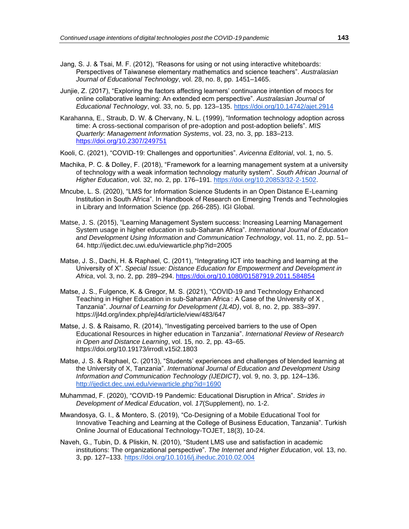- Jang, S. J. & Tsai, M. F. (2012), "Reasons for using or not using interactive whiteboards: Perspectives of Taiwanese elementary mathematics and science teachers". *Australasian Journal of Educational Technology*, vol. 28, no. 8, pp. 1451–1465.
- Junjie, Z. (2017), "Exploring the factors affecting learners' continuance intention of moocs for online collaborative learning: An extended ecm perspective". *Australasian Journal of Educational Technology*, vol. 33, no. 5, pp. 123–135.<https://doi.org/10.14742/ajet.2914>
- Karahanna, E., Straub, D. W. & Chervany, N. L. (1999), "Information technology adoption across time: A cross-sectional comparison of pre-adoption and post-adoption beliefs". *MIS Quarterly: Management Information Systems*, vol. 23, no. 3, pp. 183–213. <https://doi.org/10.2307/249751>
- Kooli, C. (2021), "COVID-19: Challenges and opportunities". *Avicenna Editorial*, vol. 1, no. 5.
- Machika, P. C. & Dolley, F. (2018), "Framework for a learning management system at a university of technology with a weak information technology maturity system". *South African Journal of Higher Education*, vol. 32, no. 2, pp. 176–191. [https://doi.org/10.20853/32-2-1502.](https://doi.org/10.20853/32-2-1502)
- Mncube, L. S. (2020), "LMS for Information Science Students in an Open Distance E-Learning Institution in South Africa". In Handbook of Research on Emerging Trends and Technologies in Library and Information Science (pp. 266-285). IGI Global.
- Matse, J. S. (2015), "Learning Management System success: Increasing Learning Management System usage in higher education in sub-Saharan Africa". *International Journal of Education and Development Using Information and Communication Technology*, vol. 11, no. 2, pp. 51– 64. http://ijedict.dec.uwi.edu/viewarticle.php?id=2005
- Matse, J. S., Dachi, H. & Raphael, C. (2011), "Integrating ICT into teaching and learning at the University of X". *Special Issue: Distance Education for Empowerment and Development in Africa*, vol. 3, no. 2, pp. 289–294.<https://doi.org/10.1080/01587919.2011.584854>
- Matse, J. S., Fulgence, K. & Gregor, M. S. (2021), "COVID-19 and Technology Enhanced Teaching in Higher Education in sub-Saharan Africa : A Case of the University of X , Tanzania". *Journal of Learning for Development (JL4D)*, vol. 8, no. 2, pp. 383–397. https://jl4d.org/index.php/ejl4d/article/view/483/647
- Matse, J. S. & Raisamo, R. (2014), "Investigating perceived barriers to the use of Open Educational Resources in higher education in Tanzania". *International Review of Research in Open and Distance Learning*, vol. 15, no. 2, pp. 43–65. https://doi.org/10.19173/irrodl.v15i2.1803
- Matse, J. S. & Raphael, C. (2013), "Students' experiences and challenges of blended learning at the University of X, Tanzania". *International Journal of Education and Development Using Information and Communication Technology (IJEDICT)*, vol. 9, no. 3, pp. 124–136. <http://ijedict.dec.uwi.edu/viewarticle.php?id=1690>
- Muhammad, F. (2020), "COVID-19 Pandemic: Educational Disruption in Africa". *Strides in Development of Medical Education*, vol. *17*(Supplement), no. 1-2.
- Mwandosya, G. I., & Montero, S. (2019), "Co-Designing of a Mobile Educational Tool for Innovative Teaching and Learning at the College of Business Education, Tanzania". Turkish Online Journal of Educational Technology-TOJET, 18(3), 10-24.
- Naveh, G., Tubin, D. & Pliskin, N. (2010), "Student LMS use and satisfaction in academic institutions: The organizational perspective". *The Internet and Higher Education*, vol. 13, no. 3, pp. 127–133.<https://doi.org/10.1016/j.iheduc.2010.02.004>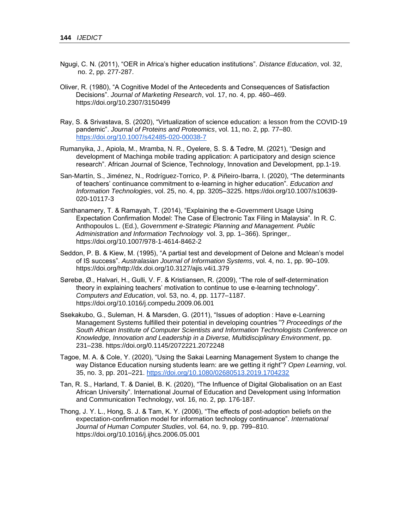- Ngugi, C. N. (2011), "OER in Africa's higher education institutions". *Distance Education*, vol. 32, no. 2, pp. 277-287.
- Oliver, R. (1980), "A Cognitive Model of the Antecedents and Consequences of Satisfaction Decisions". *Journal of Marketing Research*, vol. 17, no. 4, pp. 460–469. https://doi.org/10.2307/3150499
- Ray, S. & Srivastava, S. (2020), "Virtualization of science education: a lesson from the COVID-19 pandemic". *Journal of Proteins and Proteomics*, vol. 11, no. 2, pp. 77–80. <https://doi.org/10.1007/s42485-020-00038-7>
- Rumanyika, J., Apiola, M., Mramba, N. R., Oyelere, S. S. & Tedre, M. (2021), "Design and development of Machinga mobile trading application: A participatory and design science research". African Journal of Science, Technology, Innovation and Development, pp.1-19.
- San-Martín, S., Jiménez, N., Rodríguez-Torrico, P. & Piñeiro-Ibarra, I. (2020), "The determinants of teachers' continuance commitment to e-learning in higher education". *Education and Information Technologies*, vol. 25, no. 4, pp. 3205–3225. https://doi.org/10.1007/s10639- 020-10117-3
- Santhanamery, T. & Ramayah, T. (2014), "Explaining the e-Government Usage Using Expectation Confirmation Model: The Case of Electronic Tax Filing in Malaysia". In R. C. Anthopoulos L. (Ed.), *Government e-Strategic Planning and Management. Public Administration and Information Technology* vol. 3, pp. 1–366). Springer,. https://doi.org/10.1007/978-1-4614-8462-2
- Seddon, P. B. & Kiew, M. (1995), "A partial test and development of Delone and Mclean's model of IS success". *Australasian Journal of Information Systems*, vol. 4, no. 1, pp. 90–109. https://doi.org/http://dx.doi.org/10.3127/ajis.v4i1.379
- Sørebø, Ø., Halvari, H., Gulli, V. F. & Kristiansen, R. (2009), "The role of self-determination theory in explaining teachers' motivation to continue to use e-learning technology". *Computers and Education*, vol. 53, no. 4, pp. 1177–1187. https://doi.org/10.1016/j.compedu.2009.06.001
- Ssekakubo, G., Suleman, H. & Marsden, G. (2011), "Issues of adoption : Have e-Learning Management Systems fulfilled their potential in developing countries "? *Proceedings of the South African Institute of Computer Scientists and Information Technologists Conference on Knowledge, Innovation and Leadership in a Diverse, Multidisciplinary Environment*, pp. 231–238. https://doi.org/0.1145/2072221.2072248
- Tagoe, M. A. & Cole, Y. (2020), "Using the Sakai Learning Management System to change the way Distance Education nursing students learn: are we getting it right"? *Open Learning*, vol. 35, no. 3, pp. 201–221.<https://doi.org/10.1080/02680513.2019.1704232>
- Tan, R. S., Harland, T. & Daniel, B. K. (2020), "The Influence of Digital Globalisation on an East African University". International Journal of Education and Development using Information and Communication Technology, vol. 16, no. 2, pp. 176-187.
- Thong, J. Y. L., Hong, S. J. & Tam, K. Y. (2006), "The effects of post-adoption beliefs on the expectation-confirmation model for information technology continuance". *International Journal of Human Computer Studies*, vol. 64, no. 9, pp. 799–810. https://doi.org/10.1016/j.ijhcs.2006.05.001